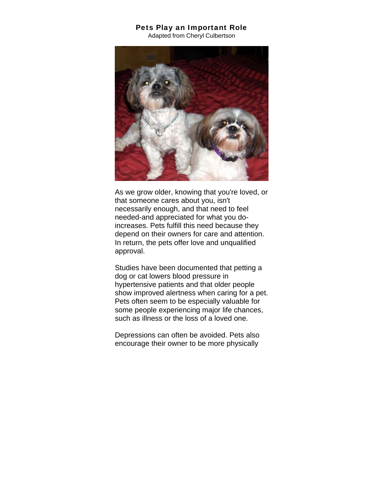## Pets Play an Important Role

Adapted from Cheryl Culbertson



As we grow older, knowing that you're loved, or that someone cares about you, isn't necessarily enough, and that need to feel needed-and appreciated for what you doincreases. Pets fulfill this need because they depend on their owners for care and attention. In return, the pets offer love and unqualified approval.

Studies have been documented that petting a dog or cat lowers blood pressure in hypertensive patients and that older people show improved alertness when caring for a pet. Pets often seem to be especially valuable for some people experiencing major life chances, such as illness or the loss of a loved one.

Depressions can often be avoided. Pets also encourage their owner to be more physically